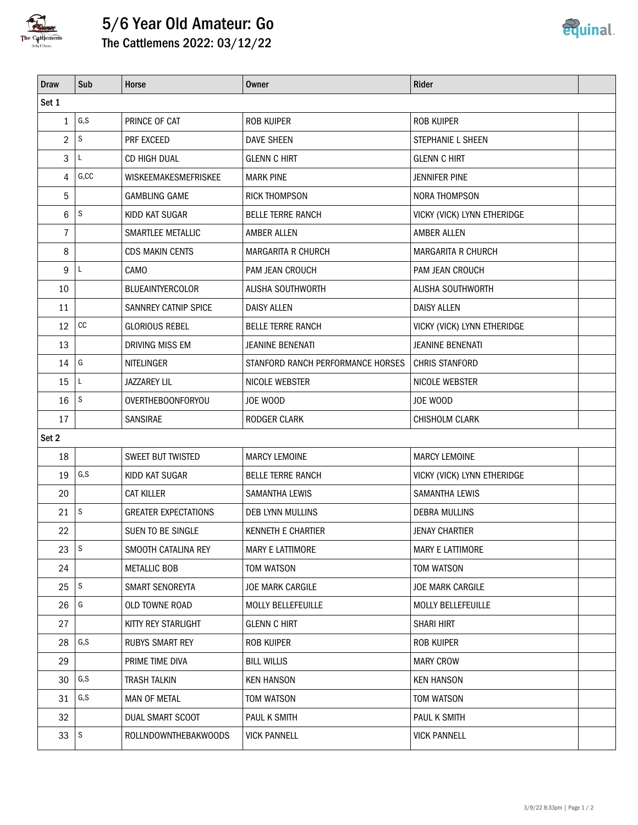

## 5/6 Year Old Amateur: Go



| <b>Draw</b>  | Sub                      | Horse                       | <b>Owner</b>                      | Rider                       |  |  |  |  |  |  |
|--------------|--------------------------|-----------------------------|-----------------------------------|-----------------------------|--|--|--|--|--|--|
| Set 1        |                          |                             |                                   |                             |  |  |  |  |  |  |
| $\mathbf{1}$ | $\mathsf{G}, \mathsf{S}$ | PRINCE OF CAT               | <b>ROB KUIPER</b>                 | <b>ROB KUIPER</b>           |  |  |  |  |  |  |
| 2            | S                        | PRF EXCEED                  | <b>DAVE SHEEN</b>                 | STEPHANIE L SHEEN           |  |  |  |  |  |  |
| 3            | L                        | CD HIGH DUAL                | <b>GLENN C HIRT</b>               | <b>GLENN C HIRT</b>         |  |  |  |  |  |  |
| 4            | G, CC                    | WISKEEMAKESMEFRISKEE        | <b>MARK PINE</b>                  | JENNIFER PINE               |  |  |  |  |  |  |
| 5            |                          | <b>GAMBLING GAME</b>        | <b>RICK THOMPSON</b>              | NORA THOMPSON               |  |  |  |  |  |  |
| 6            | $\mathsf S$              | KIDD KAT SUGAR              | <b>BELLE TERRE RANCH</b>          | VICKY (VICK) LYNN ETHERIDGE |  |  |  |  |  |  |
| 7            |                          | SMARTLEE METALLIC           | AMBER ALLEN                       | <b>AMBER ALLEN</b>          |  |  |  |  |  |  |
| 8            |                          | <b>CDS MAKIN CENTS</b>      | <b>MARGARITA R CHURCH</b>         | <b>MARGARITA R CHURCH</b>   |  |  |  |  |  |  |
| 9            | L                        | CAMO                        | PAM JEAN CROUCH                   | PAM JEAN CROUCH             |  |  |  |  |  |  |
| 10           |                          | <b>BLUEAINTYERCOLOR</b>     | <b>ALISHA SOUTHWORTH</b>          | ALISHA SOUTHWORTH           |  |  |  |  |  |  |
| 11           |                          | SANNREY CATNIP SPICE        | <b>DAISY ALLEN</b>                | <b>DAISY ALLEN</b>          |  |  |  |  |  |  |
| 12           | $\mathop{\rm CC}$        | <b>GLORIOUS REBEL</b>       | <b>BELLE TERRE RANCH</b>          | VICKY (VICK) LYNN ETHERIDGE |  |  |  |  |  |  |
| 13           |                          | DRIVING MISS EM             | <b>JEANINE BENENATI</b>           | <b>JEANINE BENENATI</b>     |  |  |  |  |  |  |
| 14           | G                        | NITELINGER                  | STANFORD RANCH PERFORMANCE HORSES | <b>CHRIS STANFORD</b>       |  |  |  |  |  |  |
| 15           | L                        | <b>JAZZAREY LIL</b>         | NICOLE WEBSTER                    | NICOLE WEBSTER              |  |  |  |  |  |  |
| 16           | ls.                      | OVERTHEBOONFORYOU           | JOE WOOD                          | JOE WOOD                    |  |  |  |  |  |  |
| 17           |                          | SANSIRAE                    | RODGER CLARK                      | CHISHOLM CLARK              |  |  |  |  |  |  |
| Set 2        |                          |                             |                                   |                             |  |  |  |  |  |  |
| 18           |                          | <b>SWEET BUT TWISTED</b>    | <b>MARCY LEMOINE</b>              | <b>MARCY LEMOINE</b>        |  |  |  |  |  |  |
| 19           | G, S                     | KIDD KAT SUGAR              | <b>BELLE TERRE RANCH</b>          | VICKY (VICK) LYNN ETHERIDGE |  |  |  |  |  |  |
| 20           |                          | <b>CAT KILLER</b>           | <b>SAMANTHA LEWIS</b>             | <b>SAMANTHA LEWIS</b>       |  |  |  |  |  |  |
| 21           | l s                      | <b>GREATER EXPECTATIONS</b> | <b>DEB LYNN MULLINS</b>           | <b>DEBRA MULLINS</b>        |  |  |  |  |  |  |
| 22           |                          | SUEN TO BE SINGLE           | <b>KENNETH E CHARTIER</b>         | <b>JENAY CHARTIER</b>       |  |  |  |  |  |  |
| 23           | s                        | SMOOTH CATALINA REY         | MARY E LATTIMORE                  | MARY E LATTIMORE            |  |  |  |  |  |  |
| 24           |                          | <b>METALLIC BOB</b>         | TOM WATSON                        | TOM WATSON                  |  |  |  |  |  |  |
| 25           | s                        | SMART SENOREYTA             | JOE MARK CARGILE                  | JOE MARK CARGILE            |  |  |  |  |  |  |
| 26           | G                        | OLD TOWNE ROAD              | MOLLY BELLEFEUILLE                | <b>MOLLY BELLEFEUILLE</b>   |  |  |  |  |  |  |
| 27           |                          | KITTY REY STARLIGHT         | <b>GLENN C HIRT</b>               | <b>SHARI HIRT</b>           |  |  |  |  |  |  |
| 28           | G, S                     | <b>RUBYS SMART REY</b>      | <b>ROB KUIPER</b>                 | <b>ROB KUIPER</b>           |  |  |  |  |  |  |
| 29           |                          | PRIME TIME DIVA             | <b>BILL WILLIS</b>                | <b>MARY CROW</b>            |  |  |  |  |  |  |
| 30           | G, S                     | <b>TRASH TALKIN</b>         | <b>KEN HANSON</b>                 | <b>KEN HANSON</b>           |  |  |  |  |  |  |
| 31           | G, S                     | <b>MAN OF METAL</b>         | TOM WATSON                        | TOM WATSON                  |  |  |  |  |  |  |
| 32           |                          | DUAL SMART SCOOT            | PAUL K SMITH                      | PAUL K SMITH                |  |  |  |  |  |  |
| 33           | l s                      | ROLLNDOWNTHEBAKWOODS        | <b>VICK PANNELL</b>               | <b>VICK PANNELL</b>         |  |  |  |  |  |  |